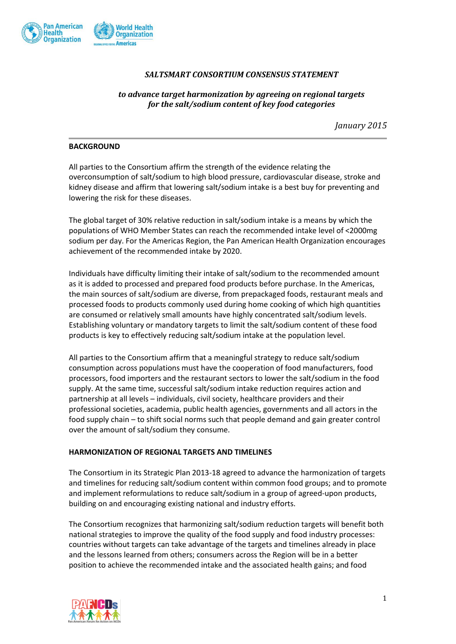

## *SALTSMART CONSORTIUM CONSENSUS STATEMENT*

# *to advance target harmonization by agreeing on regional targets for the salt/sodium content of key food categories*

*January 2015*

### **BACKGROUND**

All parties to the Consortium affirm the strength of the evidence relating the overconsumption of salt/sodium to high blood pressure, cardiovascular disease, stroke and kidney disease and affirm that lowering salt/sodium intake is a best buy for preventing and lowering the risk for these diseases.

The global target of 30% relative reduction in salt/sodium intake is a means by which the populations of WHO Member States can reach the recommended intake level of <2000mg sodium per day. For the Americas Region, the Pan American Health Organization encourages achievement of the recommended intake by 2020.

Individuals have difficulty limiting their intake of salt/sodium to the recommended amount as it is added to processed and prepared food products before purchase. In the Americas, the main sources of salt/sodium are diverse, from prepackaged foods, restaurant meals and processed foods to products commonly used during home cooking of which high quantities are consumed or relatively small amounts have highly concentrated salt/sodium levels. Establishing voluntary or mandatory targets to limit the salt/sodium content of these food products is key to effectively reducing salt/sodium intake at the population level.

All parties to the Consortium affirm that a meaningful strategy to reduce salt/sodium consumption across populations must have the cooperation of food manufacturers, food processors, food importers and the restaurant sectors to lower the salt/sodium in the food supply. At the same time, successful salt/sodium intake reduction requires action and partnership at all levels – individuals, civil society, healthcare providers and their professional societies, academia, public health agencies, governments and all actors in the food supply chain – to shift social norms such that people demand and gain greater control over the amount of salt/sodium they consume.

### **HARMONIZATION OF REGIONAL TARGETS AND TIMELINES**

The Consortium in its Strategic Plan 2013-18 agreed to advance the harmonization of targets and timelines for reducing salt/sodium content within common food groups; and to promote and implement reformulations to reduce salt/sodium in a group of agreed-upon products, building on and encouraging existing national and industry efforts.

The Consortium recognizes that harmonizing salt/sodium reduction targets will benefit both national strategies to improve the quality of the food supply and food industry processes: countries without targets can take advantage of the targets and timelines already in place and the lessons learned from others; consumers across the Region will be in a better position to achieve the recommended intake and the associated health gains; and food

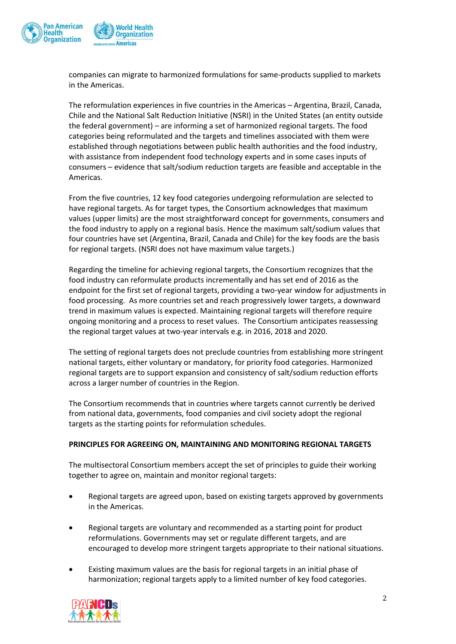

companies can migrate to harmonized formulations for same-products supplied to markets in the Americas.

The reformulation experiences in five countries in the Americas – Argentina, Brazil, Canada, Chile and the National Salt Reduction Initiative (NSRI) in the United States (an entity outside the federal government) – are informing a set of harmonized regional targets. The food categories being reformulated and the targets and timelines associated with them were established through negotiations between public health authorities and the food industry, with assistance from independent food technology experts and in some cases inputs of consumers – evidence that salt/sodium reduction targets are feasible and acceptable in the Americas.

From the five countries, 12 key food categories undergoing reformulation are selected to have regional targets. As for target types, the Consortium acknowledges that maximum values (upper limits) are the most straightforward concept for governments, consumers and the food industry to apply on a regional basis. Hence the maximum salt/sodium values that four countries have set (Argentina, Brazil, Canada and Chile) for the key foods are the basis for regional targets. (NSRI does not have maximum value targets.)

Regarding the timeline for achieving regional targets, the Consortium recognizes that the food industry can reformulate products incrementally and has set end of 2016 as the endpoint for the first set of regional targets, providing a two-year window for adjustments in food processing. As more countries set and reach progressively lower targets, a downward trend in maximum values is expected. Maintaining regional targets will therefore require ongoing monitoring and a process to reset values. The Consortium anticipates reassessing the regional target values at two-year intervals e.g. in 2016, 2018 and 2020.

The setting of regional targets does not preclude countries from establishing more stringent national targets, either voluntary or mandatory, for priority food categories. Harmonized regional targets are to support expansion and consistency of salt/sodium reduction efforts across a larger number of countries in the Region.

The Consortium recommends that in countries where targets cannot currently be derived from national data, governments, food companies and civil society adopt the regional targets as the starting points for reformulation schedules.

### **PRINCIPLES FOR AGREEING ON, MAINTAINING AND MONITORING REGIONAL TARGETS**

The multisectoral Consortium members accept the set of principles to guide their working together to agree on, maintain and monitor regional targets:

- Regional targets are agreed upon, based on existing targets approved by governments in the Americas.
- Regional targets are voluntary and recommended as a starting point for product reformulations. Governments may set or regulate different targets, and are encouraged to develop more stringent targets appropriate to their national situations.
- Existing maximum values are the basis for regional targets in an initial phase of harmonization; regional targets apply to a limited number of key food categories.

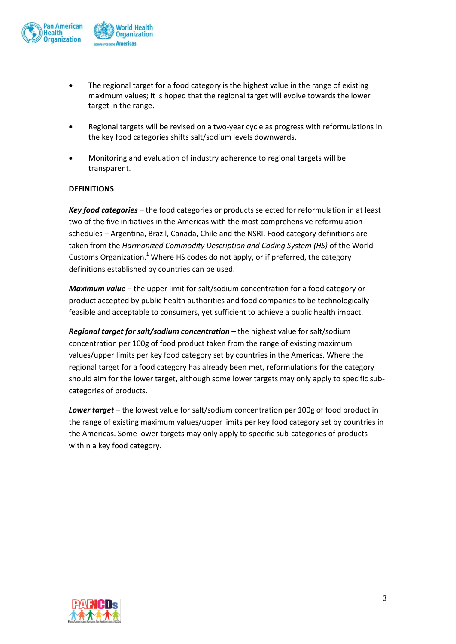

- The regional target for a food category is the highest value in the range of existing maximum values; it is hoped that the regional target will evolve towards the lower target in the range.
- Regional targets will be revised on a two-year cycle as progress with reformulations in the key food categories shifts salt/sodium levels downwards.
- Monitoring and evaluation of industry adherence to regional targets will be transparent.

### **DEFINITIONS**

*Key food categories* – the food categories or products selected for reformulation in at least two of the five initiatives in the Americas with the most comprehensive reformulation schedules – Argentina, Brazil, Canada, Chile and the NSRI. Food category definitions are taken from the *Harmonized Commodity Description and Coding System (HS)* of the World Customs Organization.<sup>1</sup> Where HS codes do not apply, or if preferred, the category definitions established by countries can be used.

*Maximum value* – the upper limit for salt/sodium concentration for a food category or product accepted by public health authorities and food companies to be technologically feasible and acceptable to consumers, yet sufficient to achieve a public health impact.

*Regional target for salt/sodium concentration* – the highest value for salt/sodium concentration per 100g of food product taken from the range of existing maximum values/upper limits per key food category set by countries in the Americas. Where the regional target for a food category has already been met, reformulations for the category should aim for the lower target, although some lower targets may only apply to specific subcategories of products.

*Lower target* – the lowest value for salt/sodium concentration per 100g of food product in the range of existing maximum values/upper limits per key food category set by countries in the Americas. Some lower targets may only apply to specific sub-categories of products within a key food category.

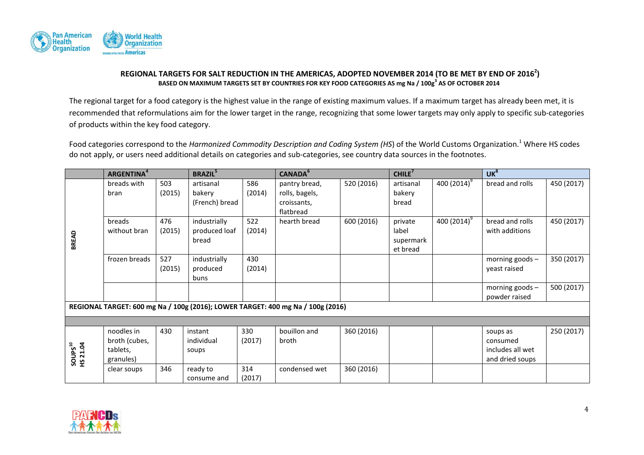

### **REGIONAL TARGETS FOR SALT REDUCTION IN THE AMERICAS, ADOPTED NOVEMBER 2014 (TO BE MET BY END OF 2016<sup>2</sup> ) BASED ON MAXIMUM TARGETS SET BY COUNTRIES FOR KEY FOOD CATEGORIES AS mg Na / 100g<sup>3</sup> AS OF OCTOBER 2014**

The regional target for a food category is the highest value in the range of existing maximum values. If a maximum target has already been met, it is recommended that reformulations aim for the lower target in the range, recognizing that some lower targets may only apply to specific sub-categories of products within the key food category.

Food categories correspond to the *Harmonized Commodity Description and Coding System (HS*) of the World Customs Organization.<sup>1</sup> Where HS codes do not apply, or users need additional details on categories and sub-categories, see country data sources in the footnotes.

|                                                                                 | <b>ARGENTINA</b> <sup>4</sup>                        |               | <b>BRAZIL</b> <sup>5</sup>             |               | <b>CANADA</b> <sup>6</sup>      |            | CHILE <sup>7</sup>                        |                | UK <sup>8</sup>                                             |            |
|---------------------------------------------------------------------------------|------------------------------------------------------|---------------|----------------------------------------|---------------|---------------------------------|------------|-------------------------------------------|----------------|-------------------------------------------------------------|------------|
|                                                                                 | breads with<br>bran                                  | 503<br>(2015) | artisanal<br>bakery                    | 586<br>(2014) | pantry bread,<br>rolls, bagels, | 520 (2016) | artisanal<br>bakery                       | 400 $(2014)^9$ | bread and rolls                                             | 450 (2017) |
|                                                                                 |                                                      |               | (French) bread                         |               | croissants,<br>flatbread        |            | bread                                     |                |                                                             |            |
| BREAD                                                                           | breads<br>without bran                               | 476<br>(2015) | industrially<br>produced loaf<br>bread | 522<br>(2014) | hearth bread                    | 600 (2016) | private<br>label<br>supermark<br>et bread | 400 $(2014)^9$ | bread and rolls<br>with additions                           | 450 (2017) |
|                                                                                 | frozen breads                                        | 527<br>(2015) | industrially<br>produced<br>buns       | 430<br>(2014) |                                 |            |                                           |                | morning goods -<br>yeast raised                             | 350 (2017) |
|                                                                                 |                                                      |               |                                        |               |                                 |            |                                           |                | morning goods $-$<br>powder raised                          | 500 (2017) |
| REGIONAL TARGET: 600 mg Na / 100g (2016); LOWER TARGET: 400 mg Na / 100g (2016) |                                                      |               |                                        |               |                                 |            |                                           |                |                                                             |            |
|                                                                                 |                                                      |               |                                        |               |                                 |            |                                           |                |                                                             |            |
| SOUPS <sup>10</sup><br>HS 21.04                                                 | noodles in<br>broth (cubes,<br>tablets,<br>granules) | 430           | instant<br>individual<br>soups         | 330<br>(2017) | bouillon and<br>broth           | 360 (2016) |                                           |                | soups as<br>consumed<br>includes all wet<br>and dried soups | 250 (2017) |
|                                                                                 | clear soups                                          | 346           | ready to<br>consume and                | 314<br>(2017) | condensed wet                   | 360 (2016) |                                           |                |                                                             |            |

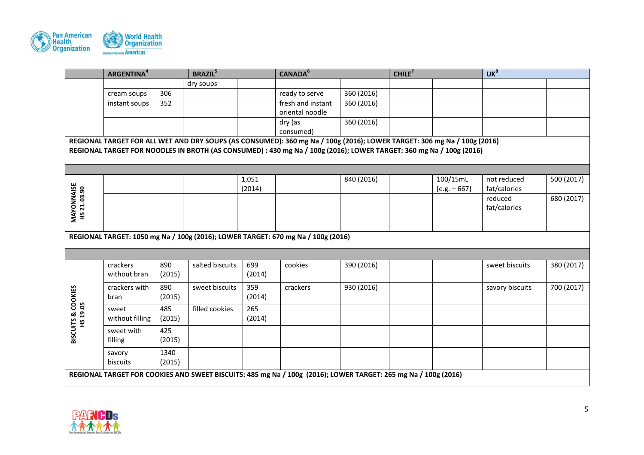

|                                                                                                                         | <b>ARGENTINA</b> <sup>4</sup>                                                    |        | <b>BRAZIL</b> <sup>5</sup> |        | CANADA <sup>6</sup>                                                                                                 |            | CHILE <sup>7</sup> |                | UK <sup>8</sup> |            |  |
|-------------------------------------------------------------------------------------------------------------------------|----------------------------------------------------------------------------------|--------|----------------------------|--------|---------------------------------------------------------------------------------------------------------------------|------------|--------------------|----------------|-----------------|------------|--|
|                                                                                                                         |                                                                                  |        | dry soups                  |        |                                                                                                                     |            |                    |                |                 |            |  |
|                                                                                                                         | cream soups                                                                      | 306    |                            |        | ready to serve                                                                                                      | 360 (2016) |                    |                |                 |            |  |
|                                                                                                                         | instant soups                                                                    | 352    |                            |        | fresh and instant                                                                                                   | 360 (2016) |                    |                |                 |            |  |
|                                                                                                                         |                                                                                  |        |                            |        | oriental noodle                                                                                                     |            |                    |                |                 |            |  |
|                                                                                                                         |                                                                                  |        |                            |        | dry (as                                                                                                             | 360 (2016) |                    |                |                 |            |  |
|                                                                                                                         |                                                                                  |        |                            |        | consumed)                                                                                                           |            |                    |                |                 |            |  |
| REGIONAL TARGET FOR ALL WET AND DRY SOUPS (AS CONSUMED): 360 mg Na / 100g (2016); LOWER TARGET: 306 mg Na / 100g (2016) |                                                                                  |        |                            |        |                                                                                                                     |            |                    |                |                 |            |  |
|                                                                                                                         |                                                                                  |        |                            |        | REGIONAL TARGET FOR NOODLES IN BROTH (AS CONSUMED) : 430 mg Na / 100g (2016); LOWER TARGET: 360 mg Na / 100g (2016) |            |                    |                |                 |            |  |
|                                                                                                                         |                                                                                  |        |                            |        |                                                                                                                     |            |                    |                |                 |            |  |
|                                                                                                                         |                                                                                  |        |                            |        |                                                                                                                     |            |                    |                |                 |            |  |
|                                                                                                                         |                                                                                  |        |                            | 1,051  |                                                                                                                     | 840 (2016) |                    | 100/15mL       | not reduced     | 500 (2017) |  |
|                                                                                                                         |                                                                                  |        |                            | (2014) |                                                                                                                     |            |                    | $[e.g. - 667]$ | fat/calories    |            |  |
| <b>MAYONNAISE<br/>HS 21.03.90</b>                                                                                       |                                                                                  |        |                            |        |                                                                                                                     |            |                    |                | reduced         | 680 (2017) |  |
|                                                                                                                         |                                                                                  |        |                            |        |                                                                                                                     |            |                    |                | fat/calories    |            |  |
|                                                                                                                         |                                                                                  |        |                            |        |                                                                                                                     |            |                    |                |                 |            |  |
|                                                                                                                         |                                                                                  |        |                            |        |                                                                                                                     |            |                    |                |                 |            |  |
|                                                                                                                         | REGIONAL TARGET: 1050 mg Na / 100g (2016); LOWER TARGET: 670 mg Na / 100g (2016) |        |                            |        |                                                                                                                     |            |                    |                |                 |            |  |
|                                                                                                                         |                                                                                  |        |                            |        |                                                                                                                     |            |                    |                |                 |            |  |
|                                                                                                                         |                                                                                  |        |                            |        |                                                                                                                     |            |                    |                |                 |            |  |
|                                                                                                                         | crackers                                                                         | 890    | salted biscuits            | 699    | cookies                                                                                                             | 390 (2016) |                    |                | sweet biscuits  | 380 (2017) |  |
|                                                                                                                         | without bran                                                                     | (2015) |                            | (2014) |                                                                                                                     |            |                    |                |                 |            |  |
|                                                                                                                         | crackers with                                                                    | 890    | sweet biscuits             | 359    | crackers                                                                                                            | 930 (2016) |                    |                | savory biscuits | 700 (2017) |  |
|                                                                                                                         | bran                                                                             | (2015) |                            | (2014) |                                                                                                                     |            |                    |                |                 |            |  |
|                                                                                                                         | sweet                                                                            | 485    | filled cookies             | 265    |                                                                                                                     |            |                    |                |                 |            |  |
|                                                                                                                         | without filling                                                                  | (2015) |                            | (2014) |                                                                                                                     |            |                    |                |                 |            |  |
| <b>BISCUITS &amp; COOKIES<br/>HS 19.05</b>                                                                              | sweet with                                                                       | 425    |                            |        |                                                                                                                     |            |                    |                |                 |            |  |
|                                                                                                                         | filling                                                                          | (2015) |                            |        |                                                                                                                     |            |                    |                |                 |            |  |
|                                                                                                                         |                                                                                  |        |                            |        |                                                                                                                     |            |                    |                |                 |            |  |
|                                                                                                                         | savory                                                                           | 1340   |                            |        |                                                                                                                     |            |                    |                |                 |            |  |
|                                                                                                                         | biscuits                                                                         | (2015) |                            |        |                                                                                                                     |            |                    |                |                 |            |  |
|                                                                                                                         |                                                                                  |        |                            |        | REGIONAL TARGET FOR COOKIES AND SWEET BISCUITS: 485 mg Na / 100g (2016); LOWER TARGET: 265 mg Na / 100g (2016)      |            |                    |                |                 |            |  |
|                                                                                                                         |                                                                                  |        |                            |        |                                                                                                                     |            |                    |                |                 |            |  |

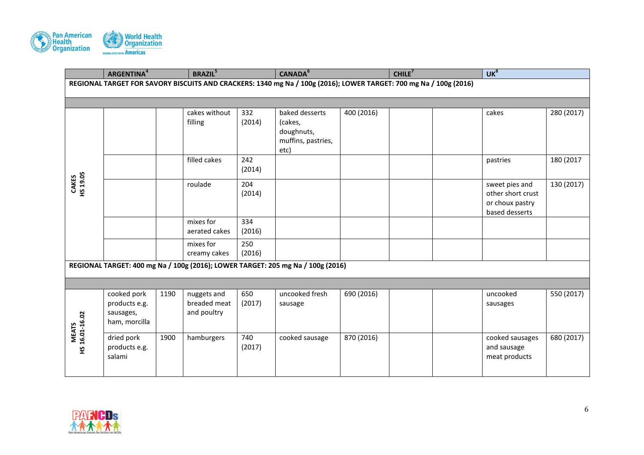

|                                 | <b>ARGENTINA</b> <sup>4</sup>                                                                                     |      | <b>BRAZIL</b> <sup>5</sup>                 |               | CANADA <sup>6</sup>                                                             |            | CHILE <sup>7</sup> |  | UK <sup>8</sup>                                                          |            |  |
|---------------------------------|-------------------------------------------------------------------------------------------------------------------|------|--------------------------------------------|---------------|---------------------------------------------------------------------------------|------------|--------------------|--|--------------------------------------------------------------------------|------------|--|
|                                 | REGIONAL TARGET FOR SAVORY BISCUITS AND CRACKERS: 1340 mg Na / 100g (2016); LOWER TARGET: 700 mg Na / 100g (2016) |      |                                            |               |                                                                                 |            |                    |  |                                                                          |            |  |
|                                 |                                                                                                                   |      |                                            |               |                                                                                 |            |                    |  |                                                                          |            |  |
|                                 |                                                                                                                   |      | cakes without<br>filling                   | 332<br>(2014) | baked desserts<br>(cakes,<br>doughnuts,<br>muffins, pastries,<br>etc)           | 400 (2016) |                    |  | cakes                                                                    | 280 (2017) |  |
|                                 |                                                                                                                   |      | filled cakes                               | 242<br>(2014) |                                                                                 |            |                    |  | pastries                                                                 | 180 (2017  |  |
| <b>CAKES<br/>HS 19.05</b>       |                                                                                                                   |      | roulade                                    | 204<br>(2014) |                                                                                 |            |                    |  | sweet pies and<br>other short crust<br>or choux pastry<br>based desserts | 130 (2017) |  |
|                                 |                                                                                                                   |      | mixes for<br>aerated cakes                 | 334<br>(2016) |                                                                                 |            |                    |  |                                                                          |            |  |
|                                 |                                                                                                                   |      | mixes for<br>creamy cakes                  | 250<br>(2016) |                                                                                 |            |                    |  |                                                                          |            |  |
|                                 |                                                                                                                   |      |                                            |               | REGIONAL TARGET: 400 mg Na / 100g (2016); LOWER TARGET: 205 mg Na / 100g (2016) |            |                    |  |                                                                          |            |  |
|                                 |                                                                                                                   |      |                                            |               |                                                                                 |            |                    |  |                                                                          |            |  |
|                                 | cooked pork<br>products e.g.<br>sausages,<br>ham, morcilla                                                        | 1190 | nuggets and<br>breaded meat<br>and poultry | 650<br>(2017) | uncooked fresh<br>sausage                                                       | 690 (2016) |                    |  | uncooked<br>sausages                                                     | 550 (2017) |  |
| <b>MEATS<br/>HS 16.01-16.02</b> | dried pork<br>products e.g.<br>salami                                                                             | 1900 | hamburgers                                 | 740<br>(2017) | cooked sausage                                                                  | 870 (2016) |                    |  | cooked sausages<br>and sausage<br>meat products                          | 680 (2017) |  |

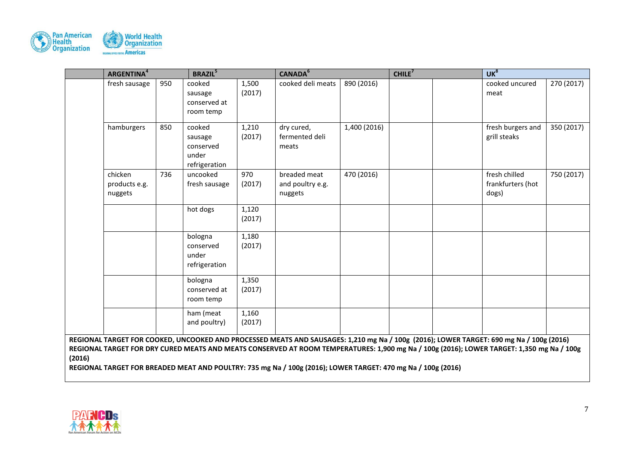

|        | <b>ARGENTINA</b> <sup>4</sup>       |     | <b>BRAZIL</b> <sup>5</sup>                               |                 | CANADA <sup>6</sup>                                                                                                                                                                                                                                                                  |              | CHILE <sup>7</sup> |  | UK <sup>8</sup>                             |            |  |
|--------|-------------------------------------|-----|----------------------------------------------------------|-----------------|--------------------------------------------------------------------------------------------------------------------------------------------------------------------------------------------------------------------------------------------------------------------------------------|--------------|--------------------|--|---------------------------------------------|------------|--|
|        | fresh sausage                       | 950 | cooked<br>sausage<br>conserved at<br>room temp           | 1,500<br>(2017) | cooked deli meats                                                                                                                                                                                                                                                                    | 890 (2016)   |                    |  | cooked uncured<br>meat                      | 270 (2017) |  |
|        | hamburgers                          | 850 | cooked<br>sausage<br>conserved<br>under<br>refrigeration | 1,210<br>(2017) | dry cured,<br>fermented deli<br>meats                                                                                                                                                                                                                                                | 1,400 (2016) |                    |  | fresh burgers and<br>grill steaks           | 350 (2017) |  |
|        | chicken<br>products e.g.<br>nuggets | 736 | uncooked<br>fresh sausage                                | 970<br>(2017)   | breaded meat<br>and poultry e.g.<br>nuggets                                                                                                                                                                                                                                          | 470 (2016)   |                    |  | fresh chilled<br>frankfurters (hot<br>dogs) | 750 (2017) |  |
|        |                                     |     | hot dogs                                                 | 1,120<br>(2017) |                                                                                                                                                                                                                                                                                      |              |                    |  |                                             |            |  |
|        |                                     |     | bologna<br>conserved<br>under<br>refrigeration           | 1,180<br>(2017) |                                                                                                                                                                                                                                                                                      |              |                    |  |                                             |            |  |
|        |                                     |     | bologna<br>conserved at<br>room temp                     | 1,350<br>(2017) |                                                                                                                                                                                                                                                                                      |              |                    |  |                                             |            |  |
|        |                                     |     | ham (meat<br>and poultry)                                | 1,160<br>(2017) |                                                                                                                                                                                                                                                                                      |              |                    |  |                                             |            |  |
| (2016) |                                     |     |                                                          |                 | REGIONAL TARGET FOR COOKED, UNCOOKED AND PROCESSED MEATS AND SAUSAGES: 1,210 mg Na / 100g (2016); LOWER TARGET: 690 mg Na / 100g (2016)<br>REGIONAL TARGET FOR DRY CURED MEATS AND MEATS CONSERVED AT ROOM TEMPERATURES: 1,900 mg Na / 100g (2016); LOWER TARGET: 1,350 mg Na / 100g |              |                    |  |                                             |            |  |

**REGIONAL TARGET FOR BREADED MEAT AND POULTRY: 735 mg Na / 100g (2016); LOWER TARGET: 470 mg Na / 100g (2016)**

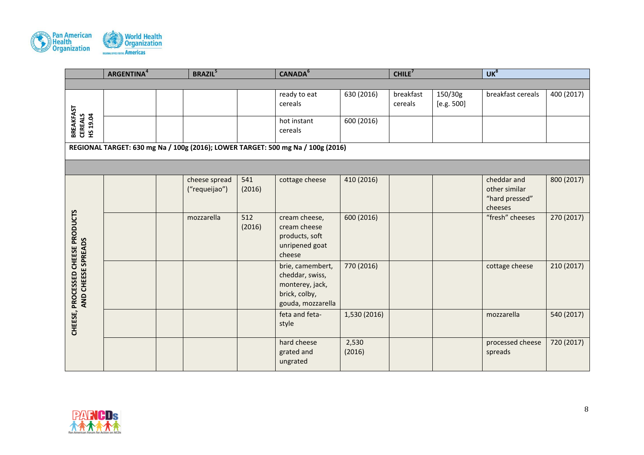

|                                                         | <b>ARGENTINA</b> <sup>4</sup>                                                   |  | <b>BRAZIL</b> <sup>5</sup><br>CANADA <sup>6</sup><br>CHILE <sup>7</sup> |               | UK <sup>8</sup>                                                                              |                 |                      |                       |                                                           |            |  |
|---------------------------------------------------------|---------------------------------------------------------------------------------|--|-------------------------------------------------------------------------|---------------|----------------------------------------------------------------------------------------------|-----------------|----------------------|-----------------------|-----------------------------------------------------------|------------|--|
|                                                         |                                                                                 |  |                                                                         |               |                                                                                              |                 |                      |                       |                                                           |            |  |
|                                                         |                                                                                 |  |                                                                         |               | ready to eat<br>cereals                                                                      | 630 (2016)      | breakfast<br>cereals | 150/30g<br>[e.g. 500] | breakfast cereals                                         | 400 (2017) |  |
| <b>BREAKFAST<br/>CEREALS<br/>HS 19.04</b>               |                                                                                 |  |                                                                         |               | hot instant<br>cereals                                                                       | 600 (2016)      |                      |                       |                                                           |            |  |
|                                                         | REGIONAL TARGET: 630 mg Na / 100g (2016); LOWER TARGET: 500 mg Na / 100g (2016) |  |                                                                         |               |                                                                                              |                 |                      |                       |                                                           |            |  |
|                                                         |                                                                                 |  |                                                                         |               |                                                                                              |                 |                      |                       |                                                           |            |  |
|                                                         |                                                                                 |  | cheese spread<br>("requeijao")                                          | 541<br>(2016) | cottage cheese                                                                               | 410 (2016)      |                      |                       | cheddar and<br>other similar<br>"hard pressed"<br>cheeses | 800 (2017) |  |
| CHEESE, PROCESSED CHEESE PRODUCTS<br>AND CHEESE SPREADS |                                                                                 |  | mozzarella                                                              | 512<br>(2016) | cream cheese,<br>cream cheese<br>products, soft<br>unripened goat<br>cheese                  | 600 (2016)      |                      |                       | "fresh" cheeses                                           | 270 (2017) |  |
|                                                         |                                                                                 |  |                                                                         |               | brie, camembert,<br>cheddar, swiss,<br>monterey, jack,<br>brick, colby,<br>gouda, mozzarella | 770 (2016)      |                      |                       | cottage cheese                                            | 210 (2017) |  |
|                                                         |                                                                                 |  |                                                                         |               | feta and feta-<br>style                                                                      | 1,530 (2016)    |                      |                       | mozzarella                                                | 540 (2017) |  |
|                                                         |                                                                                 |  |                                                                         |               | hard cheese<br>grated and<br>ungrated                                                        | 2,530<br>(2016) |                      |                       | processed cheese<br>spreads                               | 720 (2017) |  |

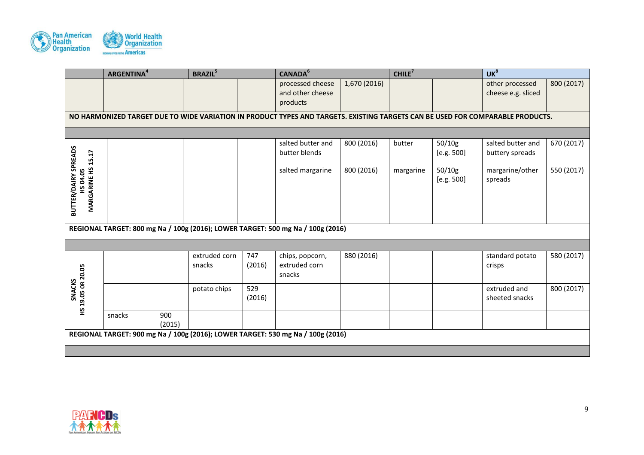

| 800 (2017)<br>670 (2017)<br>550 (2017) |
|----------------------------------------|
|                                        |
|                                        |
|                                        |
|                                        |
|                                        |
|                                        |
|                                        |
|                                        |
|                                        |
|                                        |
|                                        |
|                                        |
|                                        |
|                                        |
|                                        |
|                                        |
| 580 (2017)                             |
|                                        |
|                                        |
| 800 (2017)                             |
|                                        |
|                                        |
|                                        |
|                                        |
|                                        |
|                                        |
|                                        |

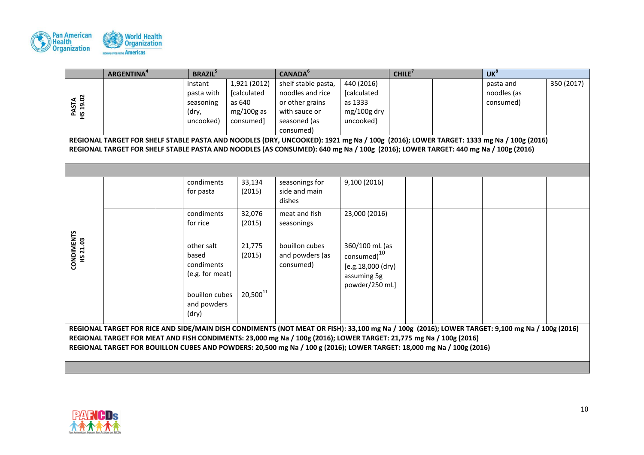

|                           | <b>ARGENTINA</b> <sup>4</sup>                                                                                                        |  | <b>BRAZIL</b> <sup>5</sup> |               | CANADA <sup>6</sup>                                                                                                                            |                         | CHILE <sup>7</sup> |  | UK <sup>8</sup> |            |  |
|---------------------------|--------------------------------------------------------------------------------------------------------------------------------------|--|----------------------------|---------------|------------------------------------------------------------------------------------------------------------------------------------------------|-------------------------|--------------------|--|-----------------|------------|--|
|                           |                                                                                                                                      |  | instant                    | 1,921 (2012)  | shelf stable pasta,                                                                                                                            | 440 (2016)              |                    |  | pasta and       | 350 (2017) |  |
|                           |                                                                                                                                      |  | pasta with                 | [calculated   | noodles and rice                                                                                                                               | [calculated             |                    |  | noodles (as     |            |  |
| <b>PASTA<br/>HS 19.02</b> |                                                                                                                                      |  | seasoning                  | as 640        | or other grains                                                                                                                                | as 1333                 |                    |  | consumed)       |            |  |
|                           |                                                                                                                                      |  | (dry,                      | mg/100g as    | with sauce or                                                                                                                                  | mg/100g dry             |                    |  |                 |            |  |
|                           |                                                                                                                                      |  | uncooked)                  | consumed]     | seasoned (as                                                                                                                                   | uncooked}               |                    |  |                 |            |  |
|                           |                                                                                                                                      |  |                            |               | consumed)                                                                                                                                      |                         |                    |  |                 |            |  |
|                           | REGIONAL TARGET FOR SHELF STABLE PASTA AND NOODLES (DRY, UNCOOKED): 1921 mg Na / 100g (2016); LOWER TARGET: 1333 mg Na / 100g (2016) |  |                            |               |                                                                                                                                                |                         |                    |  |                 |            |  |
|                           |                                                                                                                                      |  |                            |               | REGIONAL TARGET FOR SHELF STABLE PASTA AND NOODLES (AS CONSUMED): 640 mg Na / 100g (2016); LOWER TARGET: 440 mg Na / 100g (2016)               |                         |                    |  |                 |            |  |
|                           |                                                                                                                                      |  |                            |               |                                                                                                                                                |                         |                    |  |                 |            |  |
|                           |                                                                                                                                      |  |                            |               |                                                                                                                                                |                         |                    |  |                 |            |  |
|                           |                                                                                                                                      |  | condiments                 | 33,134        | seasonings for                                                                                                                                 | 9,100 (2016)            |                    |  |                 |            |  |
|                           |                                                                                                                                      |  | for pasta                  | (2015)        | side and main                                                                                                                                  |                         |                    |  |                 |            |  |
|                           |                                                                                                                                      |  |                            |               | dishes                                                                                                                                         |                         |                    |  |                 |            |  |
|                           |                                                                                                                                      |  | condiments                 | 32,076        | meat and fish                                                                                                                                  | 23,000 (2016)           |                    |  |                 |            |  |
|                           |                                                                                                                                      |  | for rice                   | (2015)        | seasonings                                                                                                                                     |                         |                    |  |                 |            |  |
|                           |                                                                                                                                      |  |                            |               |                                                                                                                                                |                         |                    |  |                 |            |  |
| CONDIMENTS<br>HS 21.03    |                                                                                                                                      |  | other salt                 | 21,775        | bouillon cubes                                                                                                                                 | 360/100 mL (as          |                    |  |                 |            |  |
|                           |                                                                                                                                      |  | based                      | (2015)        | and powders (as                                                                                                                                | consumed) <sup>10</sup> |                    |  |                 |            |  |
|                           |                                                                                                                                      |  | condiments                 |               | consumed)                                                                                                                                      | [e.g. 18,000 (dry)]     |                    |  |                 |            |  |
|                           |                                                                                                                                      |  | (e.g. for meat)            |               |                                                                                                                                                | assuming 5g             |                    |  |                 |            |  |
|                           |                                                                                                                                      |  |                            |               |                                                                                                                                                | powder/250 mL]          |                    |  |                 |            |  |
|                           |                                                                                                                                      |  | bouillon cubes             | $20,500^{11}$ |                                                                                                                                                |                         |                    |  |                 |            |  |
|                           |                                                                                                                                      |  | and powders                |               |                                                                                                                                                |                         |                    |  |                 |            |  |
|                           |                                                                                                                                      |  | (dry)                      |               |                                                                                                                                                |                         |                    |  |                 |            |  |
|                           |                                                                                                                                      |  |                            |               | REGIONAL TARGET FOR RICE AND SIDE/MAIN DISH CONDIMENTS (NOT MEAT OR FISH): 33,100 mg Na / 100g (2016); LOWER TARGET: 9,100 mg Na / 100g (2016) |                         |                    |  |                 |            |  |
|                           |                                                                                                                                      |  |                            |               | REGIONAL TARGET FOR MEAT AND FISH CONDIMENTS: 23,000 mg Na / 100g (2016); LOWER TARGET: 21,775 mg Na / 100g (2016)                             |                         |                    |  |                 |            |  |
|                           |                                                                                                                                      |  |                            |               | REGIONAL TARGET FOR BOUILLON CUBES AND POWDERS: 20,500 mg Na / 100 g (2016); LOWER TARGET: 18,000 mg Na / 100g (2016)                          |                         |                    |  |                 |            |  |
|                           |                                                                                                                                      |  |                            |               |                                                                                                                                                |                         |                    |  |                 |            |  |
|                           |                                                                                                                                      |  |                            |               |                                                                                                                                                |                         |                    |  |                 |            |  |